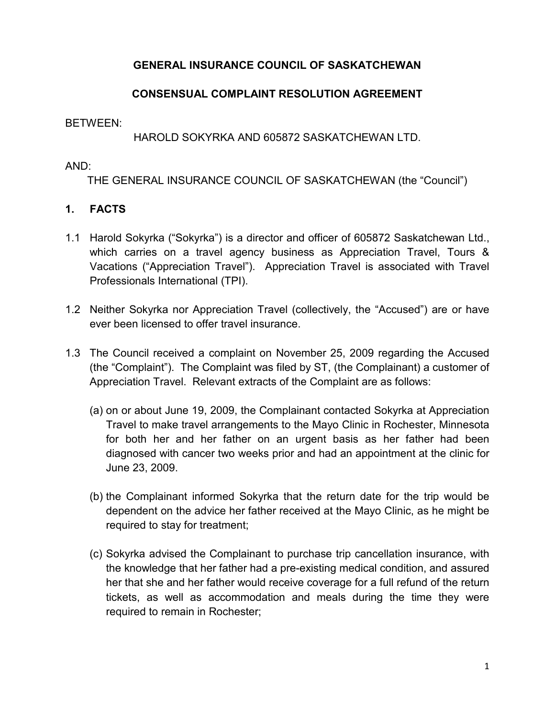## **GENERAL INSURANCE COUNCIL OF SASKATCHEWAN**

## **CONSENSUAL COMPLAINT RESOLUTION AGREEMENT**

#### BETWEEN:

### HAROLD SOKYRKA AND 605872 SASKATCHEWAN LTD.

#### AND:

THE GENERAL INSURANCE COUNCIL OF SASKATCHEWAN (the "Council")

### **1. FACTS**

- 1.1 Harold Sokyrka ("Sokyrka") is a director and officer of 605872 Saskatchewan Ltd., which carries on a travel agency business as Appreciation Travel, Tours & Vacations ("Appreciation Travel"). Appreciation Travel is associated with Travel Professionals International (TPI).
- 1.2 Neither Sokyrka nor Appreciation Travel (collectively, the "Accused") are or have ever been licensed to offer travel insurance.
- 1.3 The Council received a complaint on November 25, 2009 regarding the Accused (the "Complaint"). The Complaint was filed by ST, (the Complainant) a customer of Appreciation Travel. Relevant extracts of the Complaint are as follows:
	- (a) on or about June 19, 2009, the Complainant contacted Sokyrka at Appreciation Travel to make travel arrangements to the Mayo Clinic in Rochester, Minnesota for both her and her father on an urgent basis as her father had been diagnosed with cancer two weeks prior and had an appointment at the clinic for June 23, 2009.
	- (b) the Complainant informed Sokyrka that the return date for the trip would be dependent on the advice her father received at the Mayo Clinic, as he might be required to stay for treatment;
	- (c) Sokyrka advised the Complainant to purchase trip cancellation insurance, with the knowledge that her father had a pre-existing medical condition, and assured her that she and her father would receive coverage for a full refund of the return tickets, as well as accommodation and meals during the time they were required to remain in Rochester;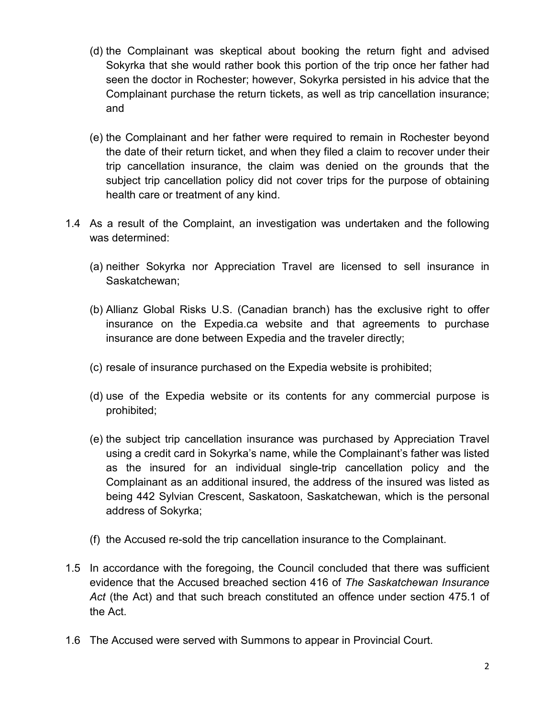- (d) the Complainant was skeptical about booking the return fight and advised Sokyrka that she would rather book this portion of the trip once her father had seen the doctor in Rochester; however, Sokyrka persisted in his advice that the Complainant purchase the return tickets, as well as trip cancellation insurance; and
- (e) the Complainant and her father were required to remain in Rochester beyond the date of their return ticket, and when they filed a claim to recover under their trip cancellation insurance, the claim was denied on the grounds that the subject trip cancellation policy did not cover trips for the purpose of obtaining health care or treatment of any kind.
- 1.4 As a result of the Complaint, an investigation was undertaken and the following was determined:
	- (a) neither Sokyrka nor Appreciation Travel are licensed to sell insurance in Saskatchewan;
	- (b) Allianz Global Risks U.S. (Canadian branch) has the exclusive right to offer insurance on the Expedia.ca website and that agreements to purchase insurance are done between Expedia and the traveler directly;
	- (c) resale of insurance purchased on the Expedia website is prohibited;
	- (d) use of the Expedia website or its contents for any commercial purpose is prohibited;
	- (e) the subject trip cancellation insurance was purchased by Appreciation Travel using a credit card in Sokyrka's name, while the Complainant's father was listed as the insured for an individual single-trip cancellation policy and the Complainant as an additional insured, the address of the insured was listed as being 442 Sylvian Crescent, Saskatoon, Saskatchewan, which is the personal address of Sokyrka;
	- (f) the Accused re-sold the trip cancellation insurance to the Complainant.
- 1.5 In accordance with the foregoing, the Council concluded that there was sufficient evidence that the Accused breached section 416 of *The Saskatchewan Insurance Act* (the Act) and that such breach constituted an offence under section 475.1 of the Act.
- 1.6 The Accused were served with Summons to appear in Provincial Court.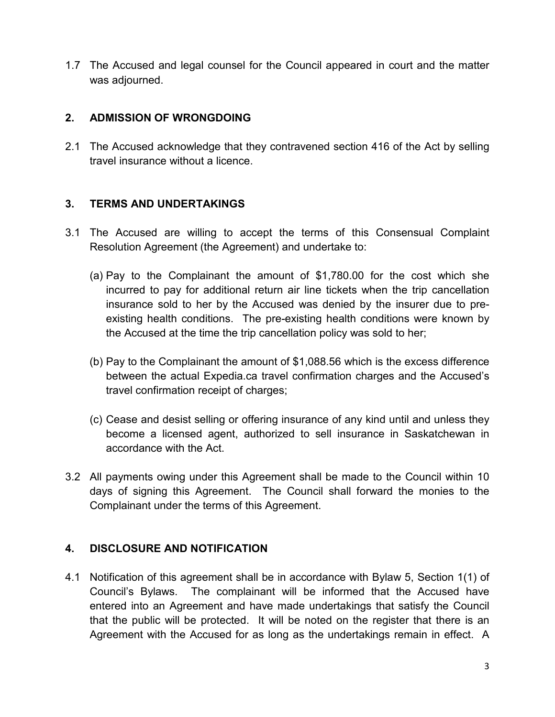1.7 The Accused and legal counsel for the Council appeared in court and the matter was adjourned.

## **2. ADMISSION OF WRONGDOING**

2.1 The Accused acknowledge that they contravened section 416 of the Act by selling travel insurance without a licence.

## **3. TERMS AND UNDERTAKINGS**

- 3.1 The Accused are willing to accept the terms of this Consensual Complaint Resolution Agreement (the Agreement) and undertake to:
	- (a) Pay to the Complainant the amount of \$1,780.00 for the cost which she incurred to pay for additional return air line tickets when the trip cancellation insurance sold to her by the Accused was denied by the insurer due to preexisting health conditions. The pre-existing health conditions were known by the Accused at the time the trip cancellation policy was sold to her;
	- (b) Pay to the Complainant the amount of \$1,088.56 which is the excess difference between the actual Expedia.ca travel confirmation charges and the Accused's travel confirmation receipt of charges;
	- (c) Cease and desist selling or offering insurance of any kind until and unless they become a licensed agent, authorized to sell insurance in Saskatchewan in accordance with the Act.
- 3.2 All payments owing under this Agreement shall be made to the Council within 10 days of signing this Agreement. The Council shall forward the monies to the Complainant under the terms of this Agreement.

# **4. DISCLOSURE AND NOTIFICATION**

4.1 Notification of this agreement shall be in accordance with Bylaw 5, Section 1(1) of Council's Bylaws. The complainant will be informed that the Accused have entered into an Agreement and have made undertakings that satisfy the Council that the public will be protected. It will be noted on the register that there is an Agreement with the Accused for as long as the undertakings remain in effect. A